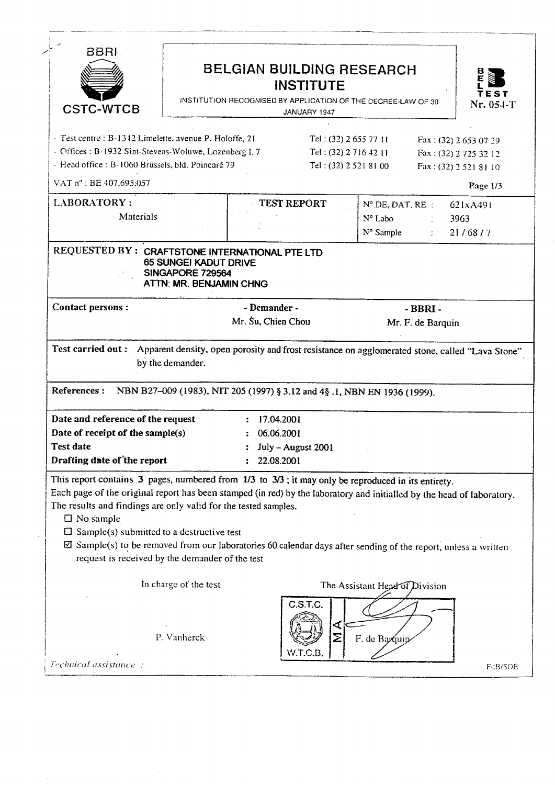| BBRI<br><b>CSTC-WTCB</b>                                                                                                                                                                                                  | <b>BELGIAN BUILDING RESEARCH</b><br><b>INSTITUTE</b><br>INSTITUTION RECOGNISED BY APPLICATION OF THE DECREE-LAW OF 30<br>JANUARY 1947                                                                                                                                                                                                                                  |                                                                           | TEST<br>Nr. 054-T                                                      |
|---------------------------------------------------------------------------------------------------------------------------------------------------------------------------------------------------------------------------|------------------------------------------------------------------------------------------------------------------------------------------------------------------------------------------------------------------------------------------------------------------------------------------------------------------------------------------------------------------------|---------------------------------------------------------------------------|------------------------------------------------------------------------|
| - Test centre: B-1342 Limelette, avenue P. Holoffe, 21<br>- Offices: B-1932 Sint-Stevens-Woluwe, Lozenberg I, 7<br>- Head office: B-1060 Brussels, bld. Poincaré 79                                                       |                                                                                                                                                                                                                                                                                                                                                                        | Tel: $(32)$ 2 655 77 11<br>Tel: (32) 2 716 42 11<br>Tel: (32) 2 521 81 00 | Fax: (32) 2 653 07 29<br>Fax: (32) 2725 32 12<br>Fax: (32) 2 521 81 10 |
| VAT n°: BE 407.695:057<br><b>LABORATORY:</b><br>Materials                                                                                                                                                                 | <b>TEST REPORT</b>                                                                                                                                                                                                                                                                                                                                                     | $N^{\circ}$ DE, DAT, RE :<br>N° Labo<br>N° Sample<br>2.11                 | Page 1/3<br>621xA491<br>3963<br>21/68/7                                |
| REQUESTED BY: CRAFTSTONE INTERNATIONAL PTE LTD<br>SINGAPORE 729564                                                                                                                                                        | <b>65 SUNGEI KADUT DRIVE</b><br>ATTN: MR. BENJAMIN CHNG                                                                                                                                                                                                                                                                                                                |                                                                           |                                                                        |
| Contact persons :                                                                                                                                                                                                         | - Demander -                                                                                                                                                                                                                                                                                                                                                           | $-BBRI -$                                                                 |                                                                        |
| <b>Test carried out :</b>                                                                                                                                                                                                 | Mr. Su, Chien Chou<br>Apparent density, open porosity and frost resistance on agglomerated stone, called "Lava Stone"                                                                                                                                                                                                                                                  | Mr. F. de Barquin                                                         |                                                                        |
| by the demander.<br>References :<br>Date and reference of the request<br>Date of receipt of the sample(s)<br><b>Test date</b>                                                                                             | NBN B27-009 (1983), NIT 205 (1997) § 3.12 and 4§ .1, NBN EN 1936 (1999).<br>: 17.04.2001<br>06.06.2001<br>July - August 2001                                                                                                                                                                                                                                           |                                                                           |                                                                        |
| Drafting date of the report<br>The results and findings are only valid for the tested samples.<br>$\Box$ No sample<br>$\Box$ Sample(s) submitted to a destructive test<br>request is received by the demander of the test | 22.08.2001<br>This report contains 3 pages, numbered from 1/3 to 3/3; it may only be reproduced in its entirety.<br>Each page of the original report has been stamped (in red) by the laboratory and initialled by the head of laboratory.<br>$\boxtimes$ Sample(s) to be removed from our laboratories 60 calendar days after sending of the report, unless a written |                                                                           |                                                                        |

 $\frac{1}{2}$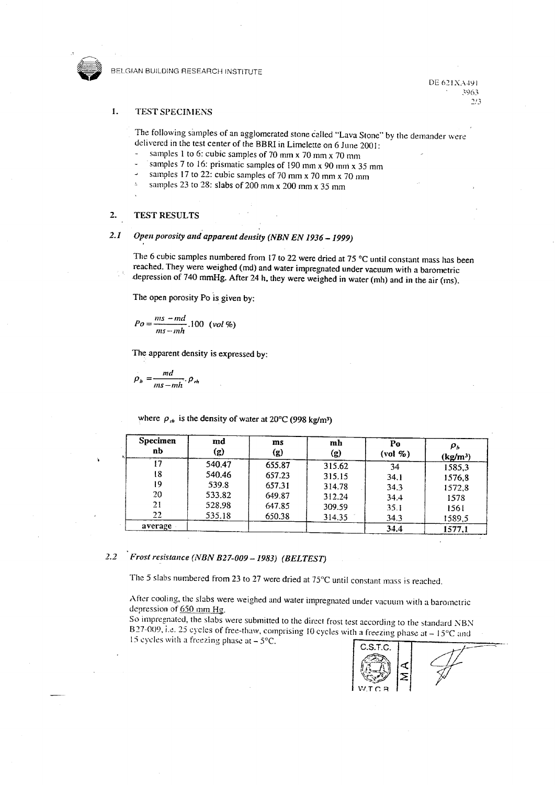

BELGIAN BUILDING RESEARCH INSTITUTE

DE 621XA491 3963  $7/3$ 

## $\mathbf{I}$ **TEST SPECIMENS**

The following samples of an agglomerated stone called "Lava Stone" by the demander were delivered in the test center of the BBRI in Limelette on 6 June 2001:

- samples 1 to 6: cubic samples of 70 mm x 70 mm x 70 mm  $\overline{a}$
- samples 7 to 16: prismatic samples of 190 mm  $x$  90 mm  $x$  35 mm
- samples 17 to 22: cubic samples of 70 mm x 70 mm x 70 mm
- samples 23 to 28: slabs of 200 mm x 200 mm x 35 mm  $\Delta$

## **TEST RESULTS**  $2.$

## $2.1$ Open porosity and apparent density (NBN EN 1936 - 1999)

The 6 cubic samples numbered from 17 to 22 were dried at 75  $^{\circ}$ C until constant mass has been reached. They were weighed (md) and water impregnated under vacuum with a barometric depression of 740 mmHg. After 24 h, they were weighed in water (mh) and in the air (ms).

The open porosity Po is given by:

$$
Po = \frac{ms - md}{ms - mh} .100 \text{ (vol%)}
$$

The apparent density is expressed by:

$$
\rho_b = \frac{md}{ms - mh} \cdot \rho_m
$$

where  $\rho_{rh}$  is the density of water at 20°C (998 kg/m<sup>3</sup>)

| <b>Specimen</b><br>nb | md<br>(g) | ms<br>(g) | mh<br>(g) | Po<br>$\left(\text{vol}\ \%$ | $\rho_{\scriptscriptstyle b}$<br>(kg/m <sup>3</sup> ) |
|-----------------------|-----------|-----------|-----------|------------------------------|-------------------------------------------------------|
| 17                    | 540.47    | 655.87    | 315.62    | 34                           | 1585,3                                                |
| 18                    | 540.46    | 657.23    | 315.15    | 34.1                         | 1576.8                                                |
| 19                    | 539.8     | 657.31    | 314.78    | 34.3                         | 1572,8                                                |
| 20                    | 533.82    | 649.87    | 312.24    | 34.4                         | 1578                                                  |
| 21                    | 528.98    | 647.85    | 309.59    | 35.1                         | 1561                                                  |
| 22                    | 535.18    | 650.38    | 314.35    | 34.3                         | 1589,5                                                |
| average               |           |           |           | 34.4                         | 1577.1                                                |

## $2.2$ Frost resistance (NBN B27-009 - 1983) (BELTEST)

The 5 slabs numbered from 23 to 27 were dried at 75°C until constant mass is reached.

After cooling, the slabs were weighed and water impregnated under vacuum with a barometric depression of 650 mm Hg.

So impregnated, the slabs were submitted to the direct frost test according to the standard NBN B27-009, i.e. 25 cycles of free-thaw, comprising 10 cycles with a freezing phase at  $-15^{\circ}$ C and 15 cycles with a freezing phase at  $-5$ °C.